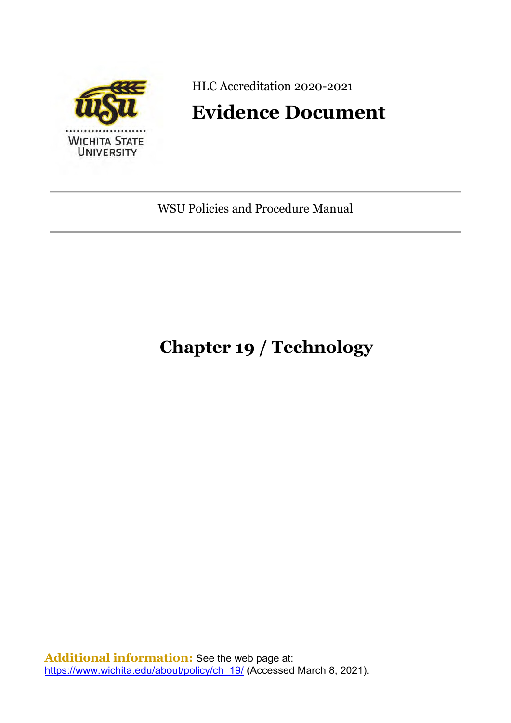

HLC Accreditation 2020-2021

# **Evidence Document**

WSU Policies and Procedure Manual

# **Chapter 19 / Technology**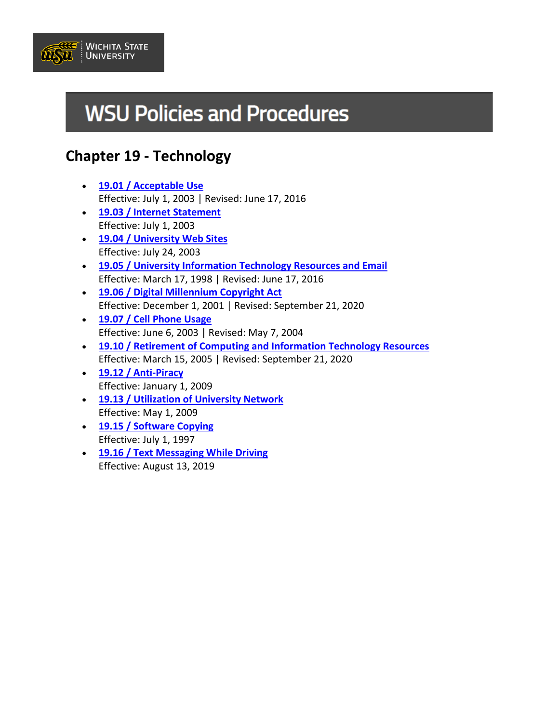

# **WSU Policies and Procedures**

# **Chapter 19 - Technology**

- **[19.01 / Acceptable Use](https://www.wichita.edu/about/policy/ch_19/ch19_01.php)** Effective: July 1, 2003 | Revised: June 17, 2016
- **[19.03 / Internet Statement](https://www.wichita.edu/about/policy/ch_19/ch19_03.php)** Effective: July 1, 2003
- **[19.04 / University Web Sites](https://www.wichita.edu/about/policy/ch_19/ch19_04.php)** Effective: July 24, 2003
- **[19.05 / University Information Technology Resources and Email](https://www.wichita.edu/about/policy/ch_19/ch19_05.php)** Effective: March 17, 1998 | Revised: June 17, 2016
- **[19.06 / Digital Millennium Copyright Act](https://www.wichita.edu/about/policy/ch_19/ch19_06.php)** Effective: December 1, 2001 | Revised: September 21, 2020
- **[19.07 / Cell Phone Usage](https://www.wichita.edu/about/policy/ch_19/ch19_07.php)** Effective: June 6, 2003 | Revised: May 7, 2004
- **[19.10 / Retirement of Computing and Information Technology Resources](https://www.wichita.edu/about/policy/ch_19/ch19_10.php)** Effective: March 15, 2005 | Revised: September 21, 2020
- **[19.12 / Anti-Piracy](https://www.wichita.edu/about/policy/ch_19/ch19_12.php)** Effective: January 1, 2009
- **[19.13 / Utilization of University Network](https://www.wichita.edu/about/policy/ch_19/ch19_13.php)** Effective: May 1, 2009
- **[19.15 / Software Copying](https://www.wichita.edu/about/policy/ch_19/ch19_15.php)** Effective: July 1, 1997
- **[19.16 / Text Messaging While Driving](https://www.wichita.edu/about/policy/ch_19/ch19_16.php)** Effective: August 13, 2019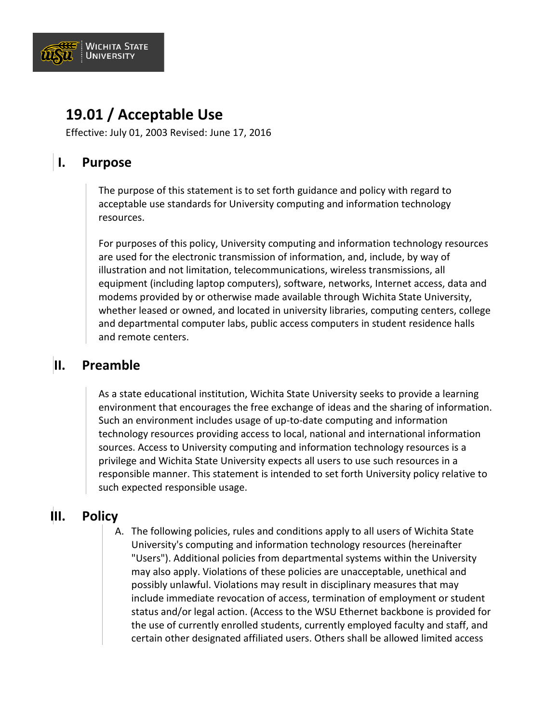

### **19.01 / Acceptable Use**

Effective: July 01, 2003 Revised: June 17, 2016

### **I. Purpose**

The purpose of this statement is to set forth guidance and policy with regard to acceptable use standards for University computing and information technology resources.

For purposes of this policy, University computing and information technology resources are used for the electronic transmission of information, and, include, by way of illustration and not limitation, telecommunications, wireless transmissions, all equipment (including laptop computers), software, networks, Internet access, data and modems provided by or otherwise made available through Wichita State University, whether leased or owned, and located in university libraries, computing centers, college and departmental computer labs, public access computers in student residence halls and remote centers.

### **II. Preamble**

As a state educational institution, Wichita State University seeks to provide a learning environment that encourages the free exchange of ideas and the sharing of information. Such an environment includes usage of up-to-date computing and information technology resources providing access to local, national and international information sources. Access to University computing and information technology resources is a privilege and Wichita State University expects all users to use such resources in a responsible manner. This statement is intended to set forth University policy relative to such expected responsible usage.

### **III. Policy**

A. The following policies, rules and conditions apply to all users of Wichita State University's computing and information technology resources (hereinafter "Users"). Additional policies from departmental systems within the University may also apply. Violations of these policies are unacceptable, unethical and possibly unlawful. Violations may result in disciplinary measures that may include immediate revocation of access, termination of employment or student status and/or legal action. (Access to the WSU Ethernet backbone is provided for the use of currently enrolled students, currently employed faculty and staff, and certain other designated affiliated users. Others shall be allowed limited access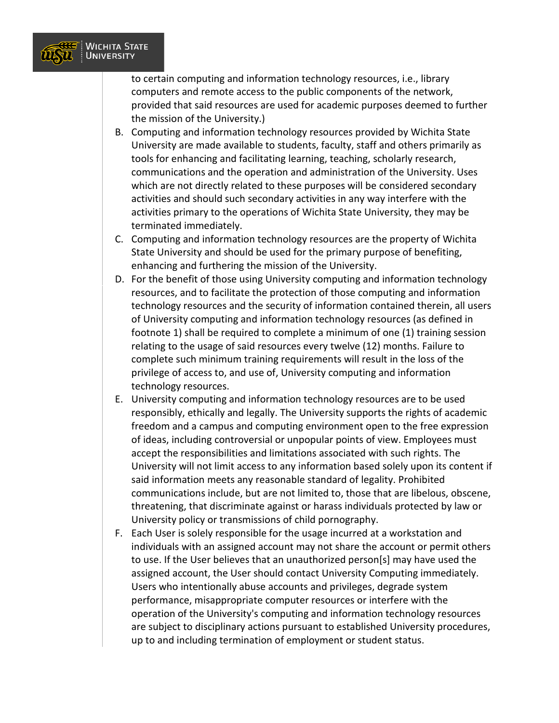

to certain computing and information technology resources, i.e., library computers and remote access to the public components of the network, provided that said resources are used for academic purposes deemed to further the mission of the University.)

- B. Computing and information technology resources provided by Wichita State University are made available to students, faculty, staff and others primarily as tools for enhancing and facilitating learning, teaching, scholarly research, communications and the operation and administration of the University. Uses which are not directly related to these purposes will be considered secondary activities and should such secondary activities in any way interfere with the activities primary to the operations of Wichita State University, they may be terminated immediately.
- C. Computing and information technology resources are the property of Wichita State University and should be used for the primary purpose of benefiting, enhancing and furthering the mission of the University.
- D. For the benefit of those using University computing and information technology resources, and to facilitate the protection of those computing and information technology resources and the security of information contained therein, all users of University computing and information technology resources (as defined in footnote 1) shall be required to complete a minimum of one (1) training session relating to the usage of said resources every twelve (12) months. Failure to complete such minimum training requirements will result in the loss of the privilege of access to, and use of, University computing and information technology resources.
- E. University computing and information technology resources are to be used responsibly, ethically and legally. The University supports the rights of academic freedom and a campus and computing environment open to the free expression of ideas, including controversial or unpopular points of view. Employees must accept the responsibilities and limitations associated with such rights. The University will not limit access to any information based solely upon its content if said information meets any reasonable standard of legality. Prohibited communications include, but are not limited to, those that are libelous, obscene, threatening, that discriminate against or harass individuals protected by law or University policy or transmissions of child pornography.
- F. Each User is solely responsible for the usage incurred at a workstation and individuals with an assigned account may not share the account or permit others to use. If the User believes that an unauthorized person[s] may have used the assigned account, the User should contact University Computing immediately. Users who intentionally abuse accounts and privileges, degrade system performance, misappropriate computer resources or interfere with the operation of the University's computing and information technology resources are subject to disciplinary actions pursuant to established University procedures, up to and including termination of employment or student status.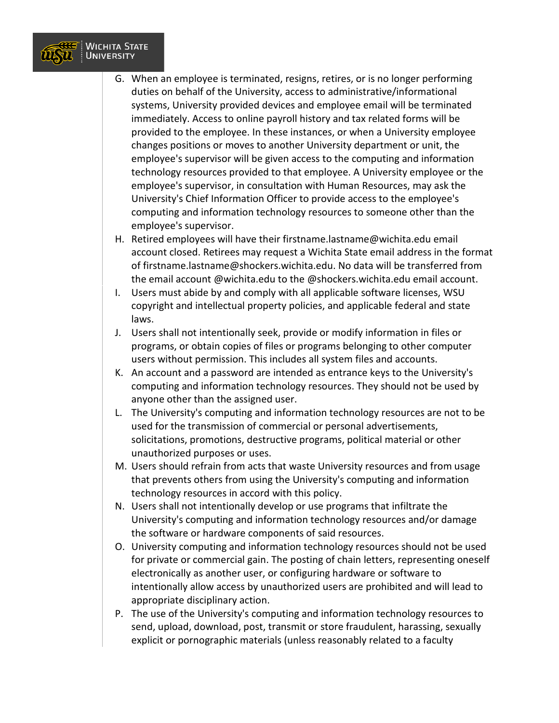

- G. When an employee is terminated, resigns, retires, or is no longer performing duties on behalf of the University, access to administrative/informational systems, University provided devices and employee email will be terminated immediately. Access to online payroll history and tax related forms will be provided to the employee. In these instances, or when a University employee changes positions or moves to another University department or unit, the employee's supervisor will be given access to the computing and information technology resources provided to that employee. A University employee or the employee's supervisor, in consultation with Human Resources, may ask the University's Chief Information Officer to provide access to the employee's computing and information technology resources to someone other than the employee's supervisor.
- H. Retired employees will have their firstname.lastname@wichita.edu email account closed. Retirees may request a Wichita State email address in the format of firstname.lastname@shockers.wichita.edu. No data will be transferred from the email account @wichita.edu to the @shockers.wichita.edu email account.
- I. Users must abide by and comply with all applicable software licenses, WSU copyright and intellectual property policies, and applicable federal and state laws.
- J. Users shall not intentionally seek, provide or modify information in files or programs, or obtain copies of files or programs belonging to other computer users without permission. This includes all system files and accounts.
- K. An account and a password are intended as entrance keys to the University's computing and information technology resources. They should not be used by anyone other than the assigned user.
- L. The University's computing and information technology resources are not to be used for the transmission of commercial or personal advertisements, solicitations, promotions, destructive programs, political material or other unauthorized purposes or uses.
- M. Users should refrain from acts that waste University resources and from usage that prevents others from using the University's computing and information technology resources in accord with this policy.
- N. Users shall not intentionally develop or use programs that infiltrate the University's computing and information technology resources and/or damage the software or hardware components of said resources.
- O. University computing and information technology resources should not be used for private or commercial gain. The posting of chain letters, representing oneself electronically as another user, or configuring hardware or software to intentionally allow access by unauthorized users are prohibited and will lead to appropriate disciplinary action.
- P. The use of the University's computing and information technology resources to send, upload, download, post, transmit or store fraudulent, harassing, sexually explicit or pornographic materials (unless reasonably related to a faculty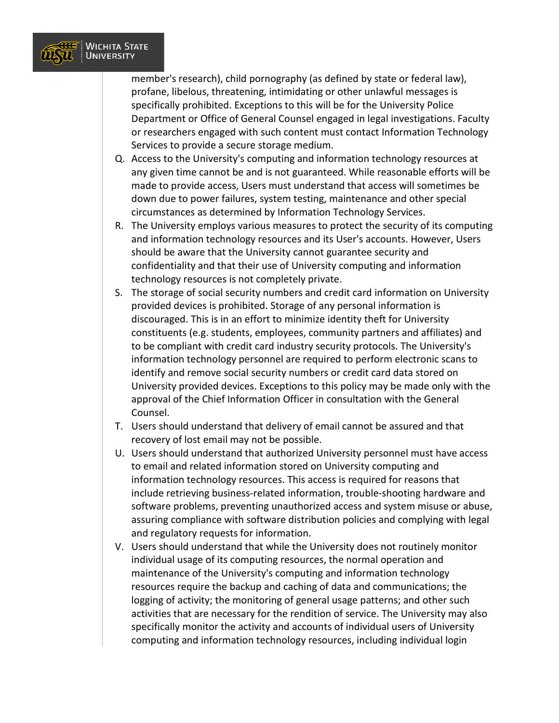

member's research), child pornography (as defined by state or federal law), profane, libelous, threatening, intimidating or other unlawful messages is specifically prohibited. Exceptions to this will be for the University Police Department or Office of General Counsel engaged in legal investigations. Faculty or researchers engaged with such content must contact Information Technology Services to provide a secure storage medium.

- Q. Access to the University's computing and information technology resources at any given time cannot be and is not guaranteed. While reasonable efforts will be made to provide access, Users must understand that access will sometimes be down due to power failures, system testing, maintenance and other special circumstances as determined by Information Technology Services.
- R. The University employs various measures to protect the security of its computing and information technology resources and its User's accounts. However, Users should be aware that the University cannot guarantee security and confidentiality and that their use of University computing and information technology resources is not completely private.
- S. The storage of social security numbers and credit card information on University provided devices is prohibited. Storage of any personal information is discouraged. This is in an effort to minimize identity theft for University constituents (e.g. students, employees, community partners and affiliates) and to be compliant with credit card industry security protocols. The University's information technology personnel are required to perform electronic scans to identify and remove social security numbers or credit card data stored on University provided devices. Exceptions to this policy may be made only with the approval of the Chief Information Officer in consultation with the General Counsel.
- T. Users should understand that delivery of email cannot be assured and that recovery of lost email may not be possible.
- U. Users should understand that authorized University personnel must have access to email and related information stored on University computing and information technology resources. This access is required for reasons that include retrieving business-related information, trouble-shooting hardware and software problems, preventing unauthorized access and system misuse or abuse, assuring compliance with software distribution policies and complying with legal and regulatory requests for information.
- V. Users should understand that while the University does not routinely monitor individual usage of its computing resources, the normal operation and maintenance of the University's computing and information technology resources require the backup and caching of data and communications; the logging of activity; the monitoring of general usage patterns; and other such activities that are necessary for the rendition of service. The University may also specifically monitor the activity and accounts of individual users of University computing and information technology resources, including individual login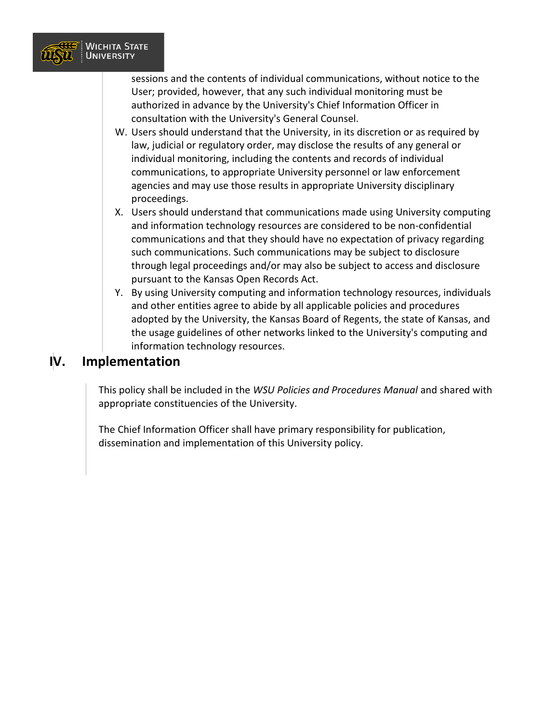

sessions and the contents of individual communications, without notice to the User; provided, however, that any such individual monitoring must be authorized in advance by the University's Chief Information Officer in consultation with the University's General Counsel.

- W. Users should understand that the University, in its discretion or as required by law, judicial or regulatory order, may disclose the results of any general or individual monitoring, including the contents and records of individual communications, to appropriate University personnel or law enforcement agencies and may use those results in appropriate University disciplinary proceedings.
- X. Users should understand that communications made using University computing and information technology resources are considered to be non-confidential communications and that they should have no expectation of privacy regarding such communications. Such communications may be subject to disclosure through legal proceedings and/or may also be subject to access and disclosure pursuant to the Kansas Open Records Act.
- Y. By using University computing and information technology resources, individuals and other entities agree to abide by all applicable policies and procedures adopted by the University, the Kansas Board of Regents, the state of Kansas, and the usage guidelines of other networks linked to the University's computing and information technology resources.

### **IV. Implementation**

This policy shall be included in the *WSU Policies and Procedures Manual* and shared with appropriate constituencies of the University.

The Chief Information Officer shall have primary responsibility for publication, dissemination and implementation of this University policy.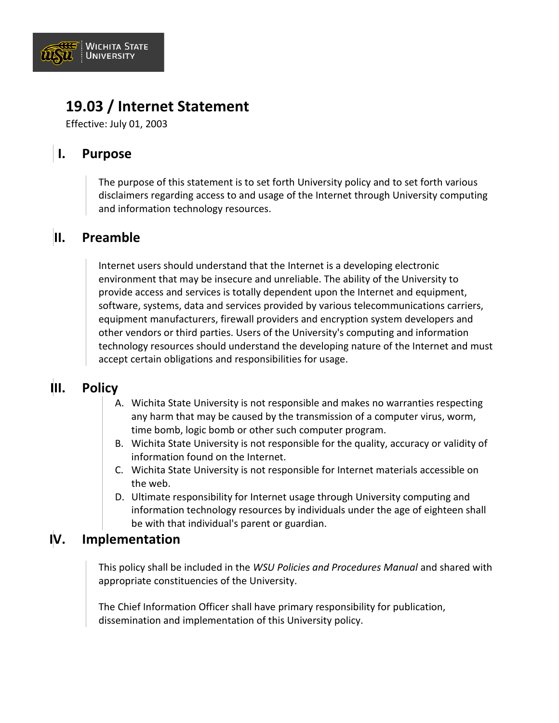

# **19.03 / Internet Statement**

Effective: July 01, 2003

### **I. Purpose**

The purpose of this statement is to set forth University policy and to set forth various disclaimers regarding access to and usage of the Internet through University computing and information technology resources.

### **II. Preamble**

Internet users should understand that the Internet is a developing electronic environment that may be insecure and unreliable. The ability of the University to provide access and services is totally dependent upon the Internet and equipment, software, systems, data and services provided by various telecommunications carriers, equipment manufacturers, firewall providers and encryption system developers and other vendors or third parties. Users of the University's computing and information technology resources should understand the developing nature of the Internet and must accept certain obligations and responsibilities for usage.

### **III. Policy**

- A. Wichita State University is not responsible and makes no warranties respecting any harm that may be caused by the transmission of a computer virus, worm, time bomb, logic bomb or other such computer program.
- B. Wichita State University is not responsible for the quality, accuracy or validity of information found on the Internet.
- C. Wichita State University is not responsible for Internet materials accessible on the web.
- D. Ultimate responsibility for Internet usage through University computing and information technology resources by individuals under the age of eighteen shall be with that individual's parent or guardian.

#### **IV. Implementation**

This policy shall be included in the *WSU Policies and Procedures Manual* and shared with appropriate constituencies of the University.

The Chief Information Officer shall have primary responsibility for publication, dissemination and implementation of this University policy.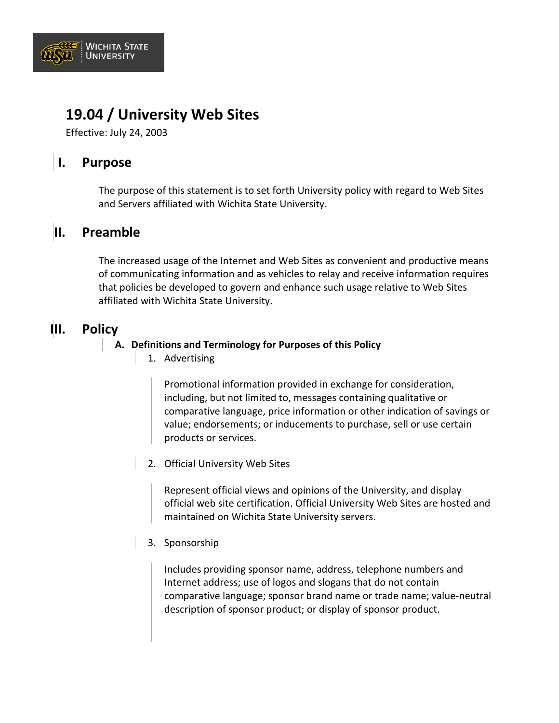

### **19.04 / University Web Sites**

Effective: July 24, 2003

### **I. Purpose**

The purpose of this statement is to set forth University policy with regard to Web Sites and Servers affiliated with Wichita State University.

### **II. Preamble**

The increased usage of the Internet and Web Sites as convenient and productive means of communicating information and as vehicles to relay and receive information requires that policies be developed to govern and enhance such usage relative to Web Sites affiliated with Wichita State University.

### **III. Policy**

#### **A. Definitions and Terminology for Purposes of this Policy**

1. Advertising

Promotional information provided in exchange for consideration, including, but not limited to, messages containing qualitative or comparative language, price information or other indication of savings or value; endorsements; or inducements to purchase, sell or use certain products or services.

2. Official University Web Sites

Represent official views and opinions of the University, and display official web site certification. Official University Web Sites are hosted and maintained on Wichita State University servers.

3. Sponsorship

Includes providing sponsor name, address, telephone numbers and Internet address; use of logos and slogans that do not contain comparative language; sponsor brand name or trade name; value-neutral description of sponsor product; or display of sponsor product.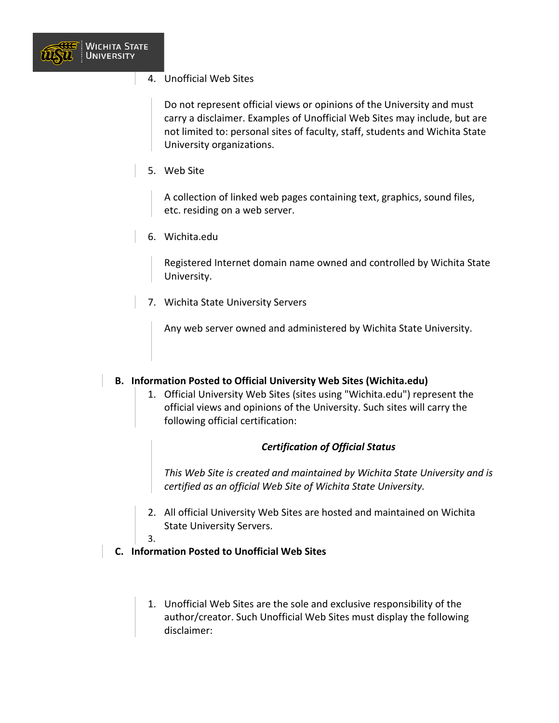

4. Unofficial Web Sites

Do not represent official views or opinions of the University and must carry a disclaimer. Examples of Unofficial Web Sites may include, but are not limited to: personal sites of faculty, staff, students and Wichita State University organizations.

5. Web Site

A collection of linked web pages containing text, graphics, sound files, etc. residing on a web server.

6. Wichita.edu

Registered Internet domain name owned and controlled by Wichita State University.

7. Wichita State University Servers

Any web server owned and administered by Wichita State University.

#### **B. Information Posted to Official University Web Sites (Wichita.edu)**

1. Official University Web Sites (sites using "Wichita.edu") represent the official views and opinions of the University. Such sites will carry the following official certification:

#### *Certification of Official Status*

*This Web Site is created and maintained by Wichita State University and is certified as an official Web Site of Wichita State University.*

- 2. All official University Web Sites are hosted and maintained on Wichita State University Servers.
- 3.
- **C. Information Posted to Unofficial Web Sites**
	- 1. Unofficial Web Sites are the sole and exclusive responsibility of the author/creator. Such Unofficial Web Sites must display the following disclaimer: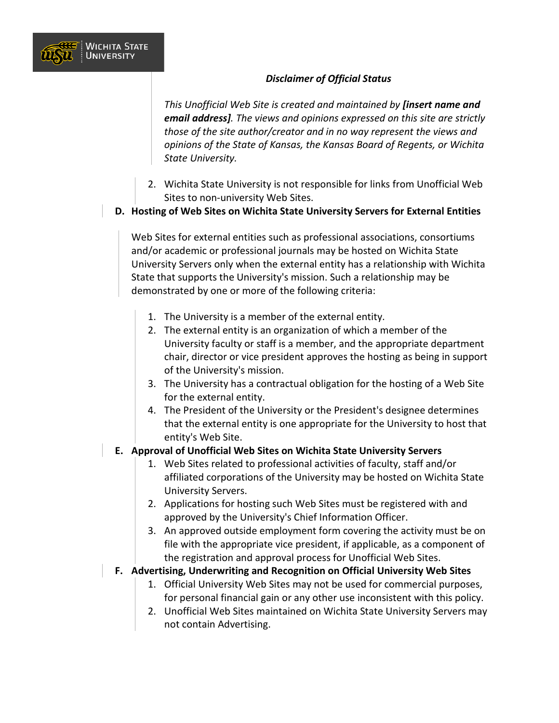#### *Disclaimer of Official Status*

*This Unofficial Web Site is created and maintained by [insert name and email address]. The views and opinions expressed on this site are strictly those of the site author/creator and in no way represent the views and opinions of the State of Kansas, the Kansas Board of Regents, or Wichita State University.*

- 2. Wichita State University is not responsible for links from Unofficial Web Sites to non-university Web Sites.
- **D. Hosting of Web Sites on Wichita State University Servers for External Entities**

Web Sites for external entities such as professional associations, consortiums and/or academic or professional journals may be hosted on Wichita State University Servers only when the external entity has a relationship with Wichita State that supports the University's mission. Such a relationship may be demonstrated by one or more of the following criteria:

1. The University is a member of the external entity.

**WICHITA STATE UNIVERSITY** 

- 2. The external entity is an organization of which a member of the University faculty or staff is a member, and the appropriate department chair, director or vice president approves the hosting as being in support of the University's mission.
- 3. The University has a contractual obligation for the hosting of a Web Site for the external entity.
- 4. The President of the University or the President's designee determines that the external entity is one appropriate for the University to host that entity's Web Site.

#### **E. Approval of Unofficial Web Sites on Wichita State University Servers**

- 1. Web Sites related to professional activities of faculty, staff and/or affiliated corporations of the University may be hosted on Wichita State University Servers.
- 2. Applications for hosting such Web Sites must be registered with and approved by the University's Chief Information Officer.
- 3. An approved outside employment form covering the activity must be on file with the appropriate vice president, if applicable, as a component of the registration and approval process for Unofficial Web Sites.

#### **F. Advertising, Underwriting and Recognition on Official University Web Sites**

- 1. Official University Web Sites may not be used for commercial purposes, for personal financial gain or any other use inconsistent with this policy.
- 2. Unofficial Web Sites maintained on Wichita State University Servers may not contain Advertising.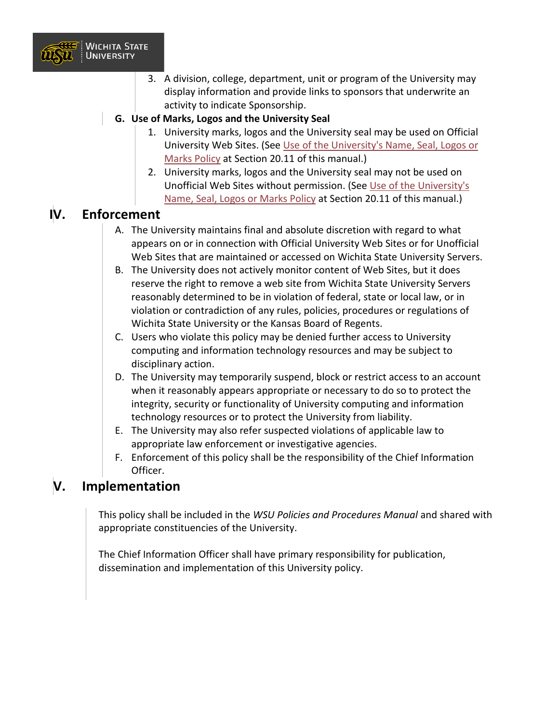

- 3. A division, college, department, unit or program of the University may display information and provide links to sponsors that underwrite an activity to indicate Sponsorship.
- **G. Use of Marks, Logos and the University Seal**
	- 1. University marks, logos and the University seal may be used on Official University Web Sites. (See [Use of the University's Name, Seal, Logos or](https://www.wichita.edu/about/policy/ch20/ch20_11.php)  [Marks Policy](https://www.wichita.edu/about/policy/ch20/ch20_11.php) at Section 20.11 of this manual.)
	- 2. University marks, logos and the University seal may not be used on Unofficial Web Sites without permission. (See [Use of the University's](https://www.wichita.edu/about/policy/ch20/ch20_11.php)  [Name, Seal, Logos or Marks Policy](https://www.wichita.edu/about/policy/ch20/ch20_11.php) at Section 20.11 of this manual.)

### **IV. Enforcement**

- A. The University maintains final and absolute discretion with regard to what appears on or in connection with Official University Web Sites or for Unofficial Web Sites that are maintained or accessed on Wichita State University Servers.
- B. The University does not actively monitor content of Web Sites, but it does reserve the right to remove a web site from Wichita State University Servers reasonably determined to be in violation of federal, state or local law, or in violation or contradiction of any rules, policies, procedures or regulations of Wichita State University or the Kansas Board of Regents.
- C. Users who violate this policy may be denied further access to University computing and information technology resources and may be subject to disciplinary action.
- D. The University may temporarily suspend, block or restrict access to an account when it reasonably appears appropriate or necessary to do so to protect the integrity, security or functionality of University computing and information technology resources or to protect the University from liability.
- E. The University may also refer suspected violations of applicable law to appropriate law enforcement or investigative agencies.
- F. Enforcement of this policy shall be the responsibility of the Chief Information Officer.

### **V. Implementation**

This policy shall be included in the *WSU Policies and Procedures Manual* and shared with appropriate constituencies of the University.

The Chief Information Officer shall have primary responsibility for publication, dissemination and implementation of this University policy.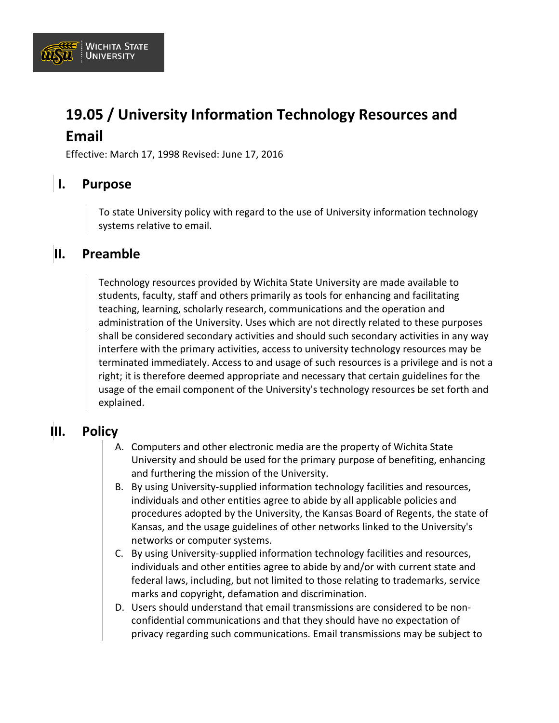

# **19.05 / University Information Technology Resources and Email**

Effective: March 17, 1998 Revised: June 17, 2016

### **I. Purpose**

To state University policy with regard to the use of University information technology systems relative to email.

### **II. Preamble**

Technology resources provided by Wichita State University are made available to students, faculty, staff and others primarily as tools for enhancing and facilitating teaching, learning, scholarly research, communications and the operation and administration of the University. Uses which are not directly related to these purposes shall be considered secondary activities and should such secondary activities in any way interfere with the primary activities, access to university technology resources may be terminated immediately. Access to and usage of such resources is a privilege and is not a right; it is therefore deemed appropriate and necessary that certain guidelines for the usage of the email component of the University's technology resources be set forth and explained.

### **III. Policy**

- A. Computers and other electronic media are the property of Wichita State University and should be used for the primary purpose of benefiting, enhancing and furthering the mission of the University.
- B. By using University-supplied information technology facilities and resources, individuals and other entities agree to abide by all applicable policies and procedures adopted by the University, the Kansas Board of Regents, the state of Kansas, and the usage guidelines of other networks linked to the University's networks or computer systems.
- C. By using University-supplied information technology facilities and resources, individuals and other entities agree to abide by and/or with current state and federal laws, including, but not limited to those relating to trademarks, service marks and copyright, defamation and discrimination.
- D. Users should understand that email transmissions are considered to be nonconfidential communications and that they should have no expectation of privacy regarding such communications. Email transmissions may be subject to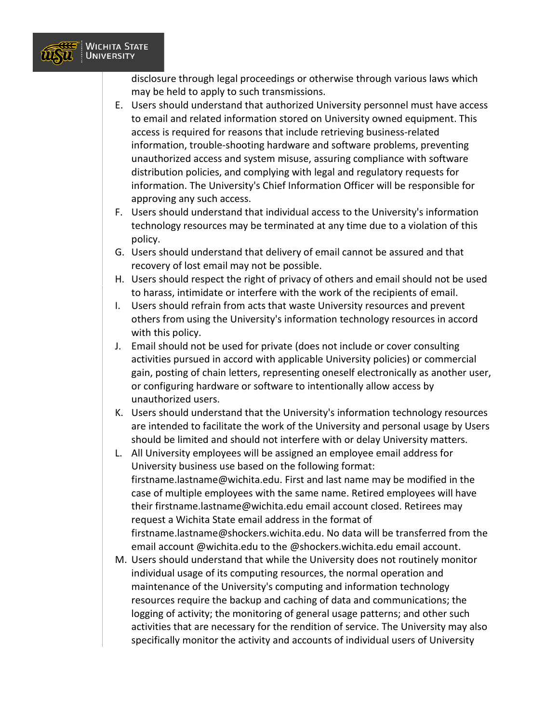

disclosure through legal proceedings or otherwise through various laws which may be held to apply to such transmissions.

- E. Users should understand that authorized University personnel must have access to email and related information stored on University owned equipment. This access is required for reasons that include retrieving business-related information, trouble-shooting hardware and software problems, preventing unauthorized access and system misuse, assuring compliance with software distribution policies, and complying with legal and regulatory requests for information. The University's Chief Information Officer will be responsible for approving any such access.
- F. Users should understand that individual access to the University's information technology resources may be terminated at any time due to a violation of this policy.
- G. Users should understand that delivery of email cannot be assured and that recovery of lost email may not be possible.
- H. Users should respect the right of privacy of others and email should not be used to harass, intimidate or interfere with the work of the recipients of email.
- I. Users should refrain from acts that waste University resources and prevent others from using the University's information technology resources in accord with this policy.
- J. Email should not be used for private (does not include or cover consulting activities pursued in accord with applicable University policies) or commercial gain, posting of chain letters, representing oneself electronically as another user, or configuring hardware or software to intentionally allow access by unauthorized users.
- K. Users should understand that the University's information technology resources are intended to facilitate the work of the University and personal usage by Users should be limited and should not interfere with or delay University matters.
- L. All University employees will be assigned an employee email address for University business use based on the following format: firstname.lastname@wichita.edu. First and last name may be modified in the case of multiple employees with the same name. Retired employees will have their firstname.lastname@wichita.edu email account closed. Retirees may request a Wichita State email address in the format of firstname.lastname@shockers.wichita.edu. No data will be transferred from the email account @wichita.edu to the @shockers.wichita.edu email account.
- M. Users should understand that while the University does not routinely monitor individual usage of its computing resources, the normal operation and maintenance of the University's computing and information technology resources require the backup and caching of data and communications; the logging of activity; the monitoring of general usage patterns; and other such activities that are necessary for the rendition of service. The University may also specifically monitor the activity and accounts of individual users of University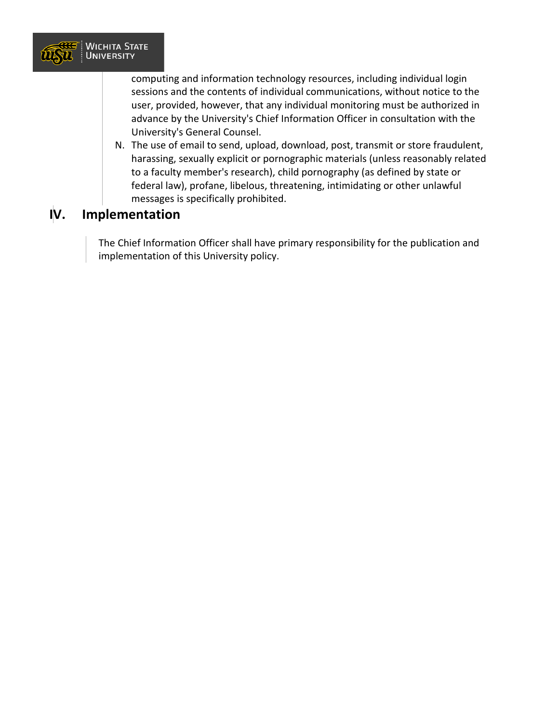

computing and information technology resources, including individual login sessions and the contents of individual communications, without notice to the user, provided, however, that any individual monitoring must be authorized in advance by the University's Chief Information Officer in consultation with the University's General Counsel.

N. The use of email to send, upload, download, post, transmit or store fraudulent, harassing, sexually explicit or pornographic materials (unless reasonably related to a faculty member's research), child pornography (as defined by state or federal law), profane, libelous, threatening, intimidating or other unlawful messages is specifically prohibited.

### **IV. Implementation**

The Chief Information Officer shall have primary responsibility for the publication and implementation of this University policy.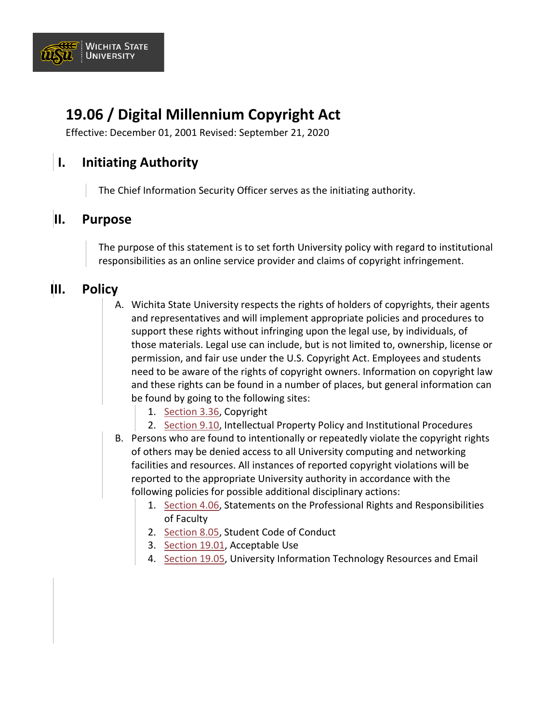

# **19.06 / Digital Millennium Copyright Act**

Effective: December 01, 2001 Revised: September 21, 2020

### **I. Initiating Authority**

The Chief Information Security Officer serves as the initiating authority.

#### **II. Purpose**

The purpose of this statement is to set forth University policy with regard to institutional responsibilities as an online service provider and claims of copyright infringement.

### **III. Policy**

- A. Wichita State University respects the rights of holders of copyrights, their agents and representatives and will implement appropriate policies and procedures to support these rights without infringing upon the legal use, by individuals, of those materials. Legal use can include, but is not limited to, ownership, license or permission, and fair use under the U.S. Copyright Act. Employees and students need to be aware of the rights of copyright owners. Information on copyright law and these rights can be found in a number of places, but general information can be found by going to the following sites:
	- 1. [Section 3.36,](https://www.wichita.edu/about/policy/ch_03/ch3_36.php) Copyright
	- 2. [Section 9.10,](https://www.wichita.edu/about/policy/ch_09/ch9_10.php) Intellectual Property Policy and Institutional Procedures
- B. Persons who are found to intentionally or repeatedly violate the copyright rights of others may be denied access to all University computing and networking facilities and resources. All instances of reported copyright violations will be reported to the appropriate University authority in accordance with the following policies for possible additional disciplinary actions:
	- 1. [Section 4.06,](https://www.wichita.edu/about/policy/ch_04/ch4_06.php) Statements on the Professional Rights and Responsibilities of Faculty
	- 2. [Section 8.05,](https://www.wichita.edu/about/policy/ch_08/ch8_05.php) Student Code of Conduct
	- 3. [Section 19.01,](https://www.wichita.edu/about/policy/ch_19/ch19_01.php) Acceptable Use
	- 4. [Section 19.05,](https://www.wichita.edu/about/policy/ch_19/ch19_05.php) University Information Technology Resources and Email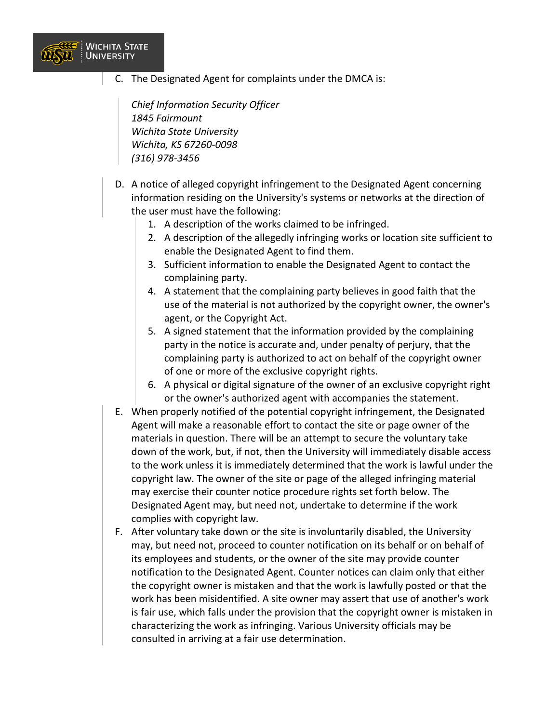

C. The Designated Agent for complaints under the DMCA is:

*Chief Information Security Officer 1845 Fairmount Wichita State University Wichita, KS 67260-0098 (316) 978-3456*

- D. A notice of alleged copyright infringement to the Designated Agent concerning information residing on the University's systems or networks at the direction of the user must have the following:
	- 1. A description of the works claimed to be infringed.
	- 2. A description of the allegedly infringing works or location site sufficient to enable the Designated Agent to find them.
	- 3. Sufficient information to enable the Designated Agent to contact the complaining party.
	- 4. A statement that the complaining party believes in good faith that the use of the material is not authorized by the copyright owner, the owner's agent, or the Copyright Act.
	- 5. A signed statement that the information provided by the complaining party in the notice is accurate and, under penalty of perjury, that the complaining party is authorized to act on behalf of the copyright owner of one or more of the exclusive copyright rights.
	- 6. A physical or digital signature of the owner of an exclusive copyright right or the owner's authorized agent with accompanies the statement.
- E. When properly notified of the potential copyright infringement, the Designated Agent will make a reasonable effort to contact the site or page owner of the materials in question. There will be an attempt to secure the voluntary take down of the work, but, if not, then the University will immediately disable access to the work unless it is immediately determined that the work is lawful under the copyright law. The owner of the site or page of the alleged infringing material may exercise their counter notice procedure rights set forth below. The Designated Agent may, but need not, undertake to determine if the work complies with copyright law.
- F. After voluntary take down or the site is involuntarily disabled, the University may, but need not, proceed to counter notification on its behalf or on behalf of its employees and students, or the owner of the site may provide counter notification to the Designated Agent. Counter notices can claim only that either the copyright owner is mistaken and that the work is lawfully posted or that the work has been misidentified. A site owner may assert that use of another's work is fair use, which falls under the provision that the copyright owner is mistaken in characterizing the work as infringing. Various University officials may be consulted in arriving at a fair use determination.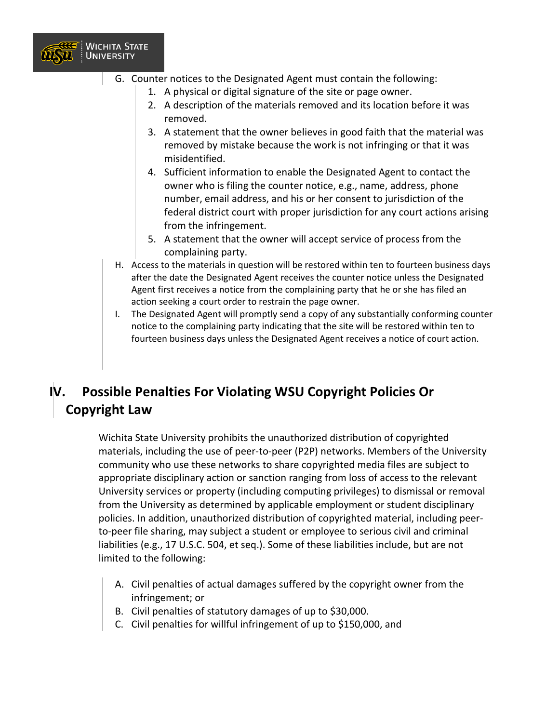

- G. Counter notices to the Designated Agent must contain the following:
	- 1. A physical or digital signature of the site or page owner.
	- 2. A description of the materials removed and its location before it was removed.
	- 3. A statement that the owner believes in good faith that the material was removed by mistake because the work is not infringing or that it was misidentified.
	- 4. Sufficient information to enable the Designated Agent to contact the owner who is filing the counter notice, e.g., name, address, phone number, email address, and his or her consent to jurisdiction of the federal district court with proper jurisdiction for any court actions arising from the infringement.
	- 5. A statement that the owner will accept service of process from the complaining party.
	- H. Access to the materials in question will be restored within ten to fourteen business days after the date the Designated Agent receives the counter notice unless the Designated Agent first receives a notice from the complaining party that he or she has filed an action seeking a court order to restrain the page owner.
	- I. The Designated Agent will promptly send a copy of any substantially conforming counter notice to the complaining party indicating that the site will be restored within ten to fourteen business days unless the Designated Agent receives a notice of court action.

### **IV. Possible Penalties For Violating WSU Copyright Policies Or Copyright Law**

Wichita State University prohibits the unauthorized distribution of copyrighted materials, including the use of peer-to-peer (P2P) networks. Members of the University community who use these networks to share copyrighted media files are subject to appropriate disciplinary action or sanction ranging from loss of access to the relevant University services or property (including computing privileges) to dismissal or removal from the University as determined by applicable employment or student disciplinary policies. In addition, unauthorized distribution of copyrighted material, including peerto-peer file sharing, may subject a student or employee to serious civil and criminal liabilities (e.g., 17 U.S.C. 504, et seq.). Some of these liabilities include, but are not limited to the following:

- A. Civil penalties of actual damages suffered by the copyright owner from the infringement; or
- B. Civil penalties of statutory damages of up to \$30,000.
- C. Civil penalties for willful infringement of up to \$150,000, and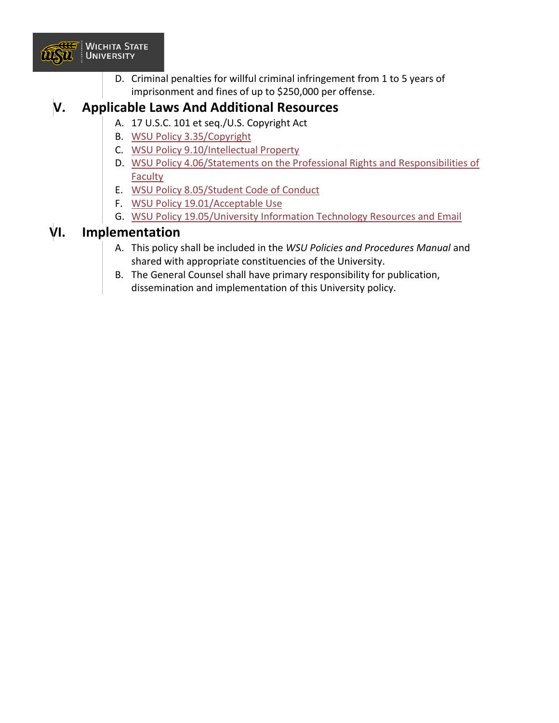

D. Criminal penalties for willful criminal infringement from 1 to 5 years of imprisonment and fines of up to \$250,000 per offense.

### **V. Applicable Laws And Additional Resources**

- A. 17 U.S.C. 101 et seq./U.S. Copyright Act
- B. [WSU Policy 3.35/Copyright](https://www.wichita.edu/about/policy/ch_03/ch3_35.php)
- C. [WSU Policy 9.10/Intellectual Property](https://www.wichita.edu/about/policy/ch_09/ch9_10.php)
- D. WSU Policy 4.06/Statements on the Professional Rights and Responsibilities of [Faculty](https://www.wichita.edu/about/policy/ch_04/ch4_06.php)
- E. [WSU Policy 8.05/Student Code of Conduct](https://www.wichita.edu/about/policy/ch_08/ch8_05.php)
- F. [WSU Policy 19.01/Acceptable Use](https://www.wichita.edu/about/policy/ch_19/ch19_01.php)
- G. [WSU Policy 19.05/University Information Technology Resources and Email](https://www.wichita.edu/about/policy/ch_19/ch19_05.php)

### **VI. Implementation**

- A. This policy shall be included in the *WSU Policies and Procedures Manual* and shared with appropriate constituencies of the University.
- B. The General Counsel shall have primary responsibility for publication, dissemination and implementation of this University policy.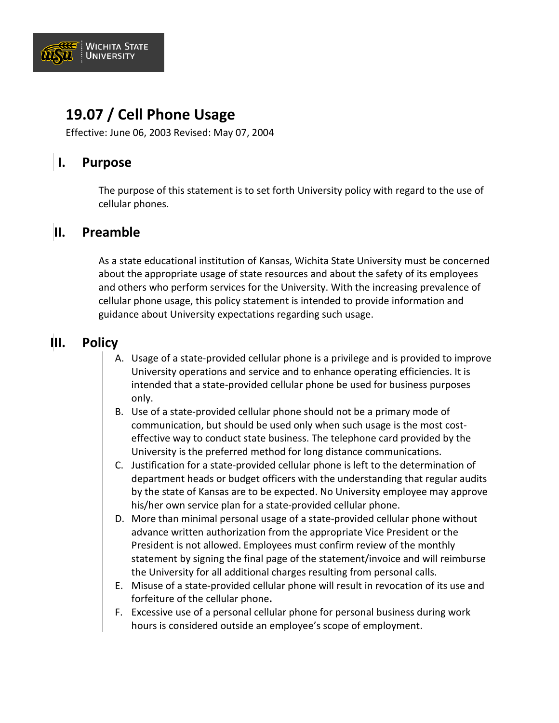

### **19.07 / Cell Phone Usage**

Effective: June 06, 2003 Revised: May 07, 2004

### **I. Purpose**

The purpose of this statement is to set forth University policy with regard to the use of cellular phones.

#### **II. Preamble**

As a state educational institution of Kansas, Wichita State University must be concerned about the appropriate usage of state resources and about the safety of its employees and others who perform services for the University. With the increasing prevalence of cellular phone usage, this policy statement is intended to provide information and guidance about University expectations regarding such usage.

### **III. Policy**

- A. Usage of a state-provided cellular phone is a privilege and is provided to improve University operations and service and to enhance operating efficiencies. It is intended that a state-provided cellular phone be used for business purposes only.
- B. Use of a state-provided cellular phone should not be a primary mode of communication, but should be used only when such usage is the most costeffective way to conduct state business. The telephone card provided by the University is the preferred method for long distance communications.
- C. Justification for a state-provided cellular phone is left to the determination of department heads or budget officers with the understanding that regular audits by the state of Kansas are to be expected. No University employee may approve his/her own service plan for a state-provided cellular phone.
- D. More than minimal personal usage of a state-provided cellular phone without advance written authorization from the appropriate Vice President or the President is not allowed. Employees must confirm review of the monthly statement by signing the final page of the statement/invoice and will reimburse the University for all additional charges resulting from personal calls.
- E. Misuse of a state-provided cellular phone will result in revocation of its use and forfeiture of the cellular phone**.**
- F. Excessive use of a personal cellular phone for personal business during work hours is considered outside an employee's scope of employment.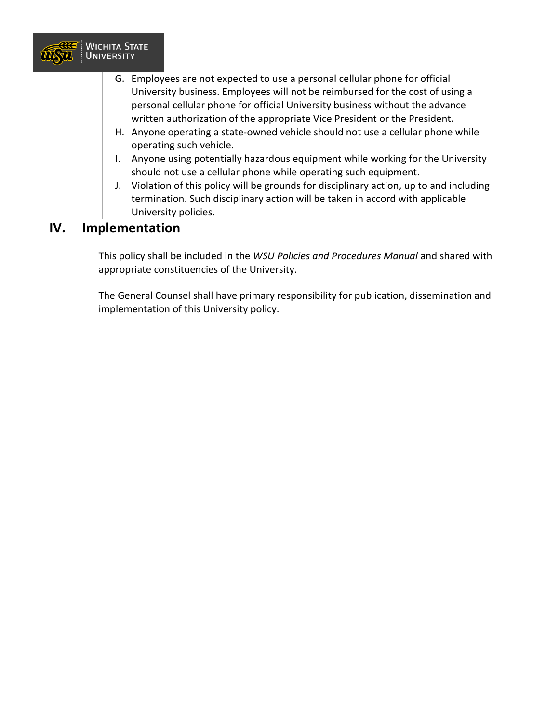

- G. Employees are not expected to use a personal cellular phone for official University business. Employees will not be reimbursed for the cost of using a personal cellular phone for official University business without the advance written authorization of the appropriate Vice President or the President.
- H. Anyone operating a state-owned vehicle should not use a cellular phone while operating such vehicle.
- I. Anyone using potentially hazardous equipment while working for the University should not use a cellular phone while operating such equipment.
- J. Violation of this policy will be grounds for disciplinary action, up to and including termination. Such disciplinary action will be taken in accord with applicable University policies.

### **IV. Implementation**

This policy shall be included in the *WSU Policies and Procedures Manual* and shared with appropriate constituencies of the University.

The General Counsel shall have primary responsibility for publication, dissemination and implementation of this University policy.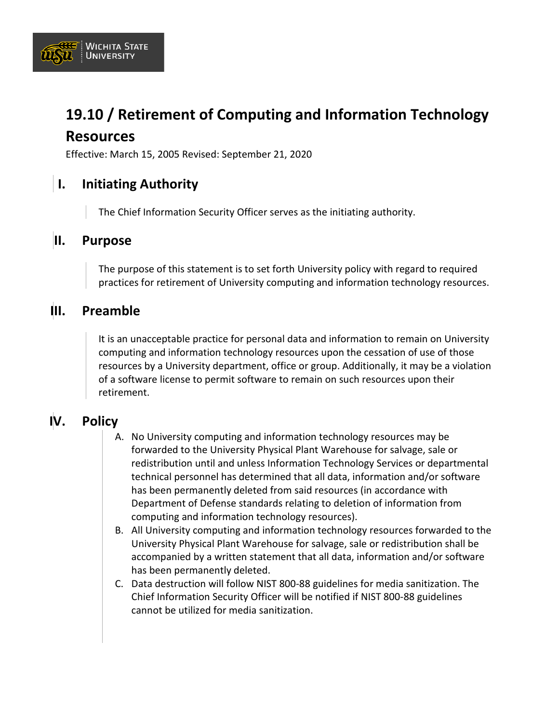

# **19.10 / Retirement of Computing and Information Technology Resources**

Effective: March 15, 2005 Revised: September 21, 2020

### **I. Initiating Authority**

The Chief Information Security Officer serves as the initiating authority.

#### **II. Purpose**

The purpose of this statement is to set forth University policy with regard to required practices for retirement of University computing and information technology resources.

### **III. Preamble**

It is an unacceptable practice for personal data and information to remain on University computing and information technology resources upon the cessation of use of those resources by a University department, office or group. Additionally, it may be a violation of a software license to permit software to remain on such resources upon their retirement.

### **IV. Policy**

- A. No University computing and information technology resources may be forwarded to the University Physical Plant Warehouse for salvage, sale or redistribution until and unless Information Technology Services or departmental technical personnel has determined that all data, information and/or software has been permanently deleted from said resources (in accordance with Department of Defense standards relating to deletion of information from computing and information technology resources).
- B. All University computing and information technology resources forwarded to the University Physical Plant Warehouse for salvage, sale or redistribution shall be accompanied by a written statement that all data, information and/or software has been permanently deleted.
- C. Data destruction will follow NIST 800-88 guidelines for media sanitization. The Chief Information Security Officer will be notified if NIST 800-88 guidelines cannot be utilized for media sanitization.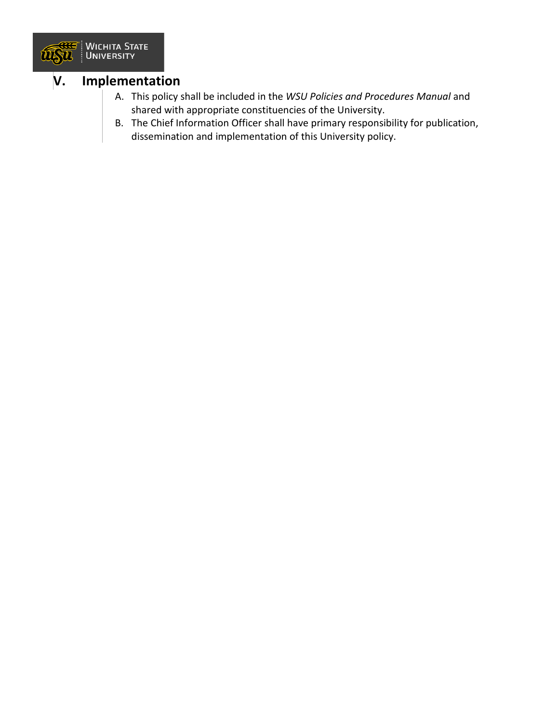

#### **V. Implementation**

- A. This policy shall be included in the *WSU Policies and Procedures Manual* and shared with appropriate constituencies of the University.
- B. The Chief Information Officer shall have primary responsibility for publication, dissemination and implementation of this University policy.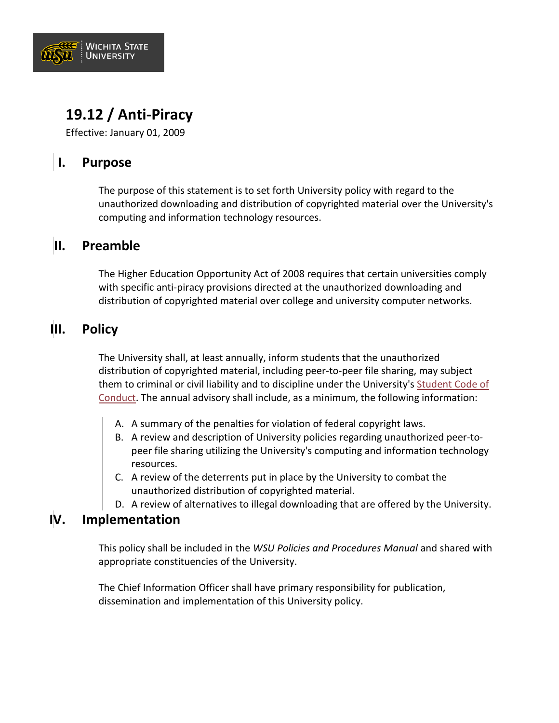

# **19.12 / Anti-Piracy**

Effective: January 01, 2009

### **I. Purpose**

The purpose of this statement is to set forth University policy with regard to the unauthorized downloading and distribution of copyrighted material over the University's computing and information technology resources.

#### **II. Preamble**

The Higher Education Opportunity Act of 2008 requires that certain universities comply with specific anti-piracy provisions directed at the unauthorized downloading and distribution of copyrighted material over college and university computer networks.

### **III. Policy**

The University shall, at least annually, inform students that the unauthorized distribution of copyrighted material, including peer-to-peer file sharing, may subject them to criminal or civil liability and to discipline under the University's [Student Code of](https://www.wichita.edu/about/policy/ch_08/ch8_05.php)  [Conduct.](https://www.wichita.edu/about/policy/ch_08/ch8_05.php) The annual advisory shall include, as a minimum, the following information:

- A. A summary of the penalties for violation of federal copyright laws.
- B. A review and description of University policies regarding unauthorized peer-topeer file sharing utilizing the University's computing and information technology resources.
- C. A review of the deterrents put in place by the University to combat the unauthorized distribution of copyrighted material.
- D. A review of alternatives to illegal downloading that are offered by the University.

#### **IV. Implementation**

This policy shall be included in the *WSU Policies and Procedures Manual* and shared with appropriate constituencies of the University.

The Chief Information Officer shall have primary responsibility for publication, dissemination and implementation of this University policy.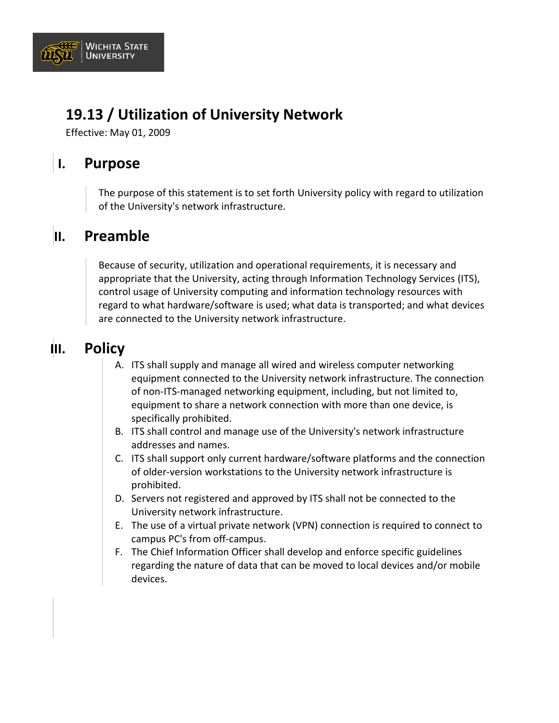

# **19.13 / Utilization of University Network**

Effective: May 01, 2009

# **I. Purpose**

The purpose of this statement is to set forth University policy with regard to utilization of the University's network infrastructure.

# **II. Preamble**

Because of security, utilization and operational requirements, it is necessary and appropriate that the University, acting through Information Technology Services (ITS), control usage of University computing and information technology resources with regard to what hardware/software is used; what data is transported; and what devices are connected to the University network infrastructure.

# **III. Policy**

- A. ITS shall supply and manage all wired and wireless computer networking equipment connected to the University network infrastructure. The connection of non-ITS-managed networking equipment, including, but not limited to, equipment to share a network connection with more than one device, is specifically prohibited.
- B. ITS shall control and manage use of the University's network infrastructure addresses and names.
- C. ITS shall support only current hardware/software platforms and the connection of older-version workstations to the University network infrastructure is prohibited.
- D. Servers not registered and approved by ITS shall not be connected to the University network infrastructure.
- E. The use of a virtual private network (VPN) connection is required to connect to campus PC's from off-campus.
- F. The Chief Information Officer shall develop and enforce specific guidelines regarding the nature of data that can be moved to local devices and/or mobile devices.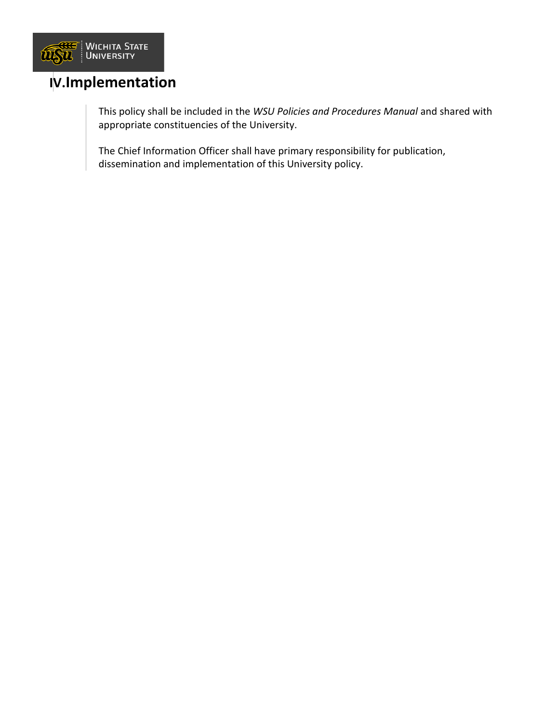

### **IV.Implementation**

This policy shall be included in the *WSU Policies and Procedures Manual* and shared with appropriate constituencies of the University.

The Chief Information Officer shall have primary responsibility for publication, dissemination and implementation of this University policy.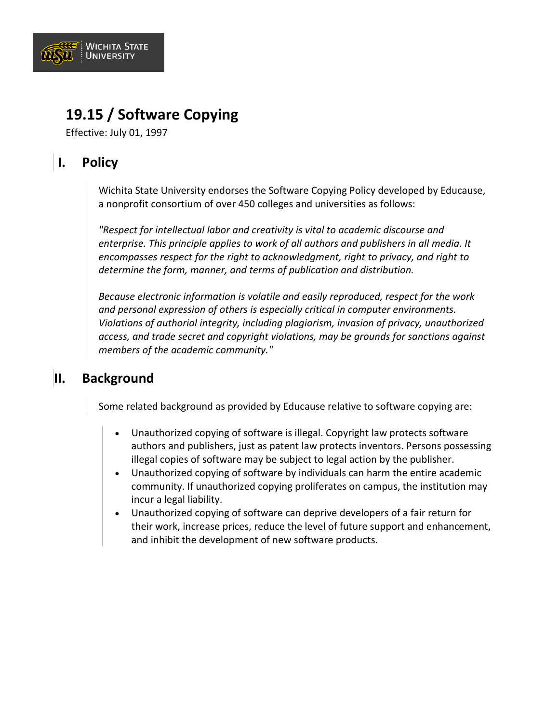

### **19.15 / Software Copying**

Effective: July 01, 1997

### **I. Policy**

Wichita State University endorses the Software Copying Policy developed by Educause, a nonprofit consortium of over 450 colleges and universities as follows:

*"Respect for intellectual labor and creativity is vital to academic discourse and enterprise. This principle applies to work of all authors and publishers in all media. It encompasses respect for the right to acknowledgment, right to privacy, and right to determine the form, manner, and terms of publication and distribution.*

*Because electronic information is volatile and easily reproduced, respect for the work and personal expression of others is especially critical in computer environments. Violations of authorial integrity, including plagiarism, invasion of privacy, unauthorized access, and trade secret and copyright violations, may be grounds for sanctions against members of the academic community."*

### **II. Background**

Some related background as provided by Educause relative to software copying are:

- Unauthorized copying of software is illegal. Copyright law protects software authors and publishers, just as patent law protects inventors. Persons possessing illegal copies of software may be subject to legal action by the publisher.
- Unauthorized copying of software by individuals can harm the entire academic community. If unauthorized copying proliferates on campus, the institution may incur a legal liability.
- Unauthorized copying of software can deprive developers of a fair return for their work, increase prices, reduce the level of future support and enhancement, and inhibit the development of new software products.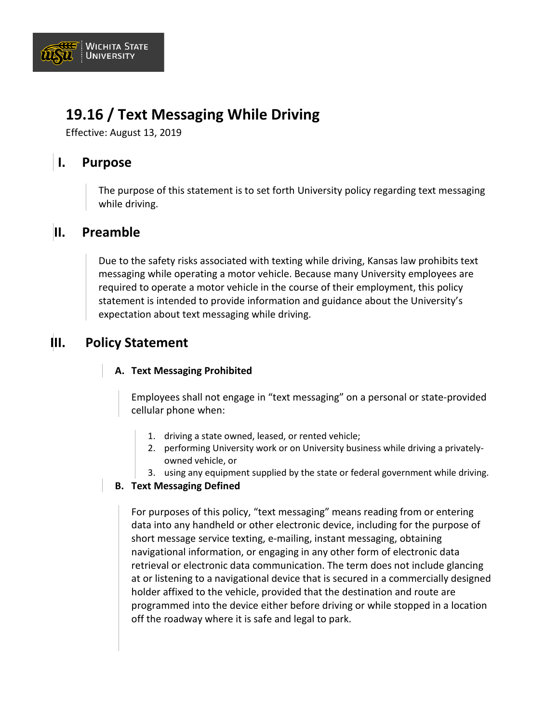

# **19.16 / Text Messaging While Driving**

Effective: August 13, 2019

### **I. Purpose**

The purpose of this statement is to set forth University policy regarding text messaging while driving.

#### **II. Preamble**

Due to the safety risks associated with texting while driving, Kansas law prohibits text messaging while operating a motor vehicle. Because many University employees are required to operate a motor vehicle in the course of their employment, this policy statement is intended to provide information and guidance about the University's expectation about text messaging while driving.

### **III. Policy Statement**

#### **A. Text Messaging Prohibited**

Employees shall not engage in "text messaging" on a personal or state-provided cellular phone when:

- 1. driving a state owned, leased, or rented vehicle;
- 2. performing University work or on University business while driving a privatelyowned vehicle, or
- 3. using any equipment supplied by the state or federal government while driving.

#### **B. Text Messaging Defined**

For purposes of this policy, "text messaging" means reading from or entering data into any handheld or other electronic device, including for the purpose of short message service texting, e-mailing, instant messaging, obtaining navigational information, or engaging in any other form of electronic data retrieval or electronic data communication. The term does not include glancing at or listening to a navigational device that is secured in a commercially designed holder affixed to the vehicle, provided that the destination and route are programmed into the device either before driving or while stopped in a location off the roadway where it is safe and legal to park.